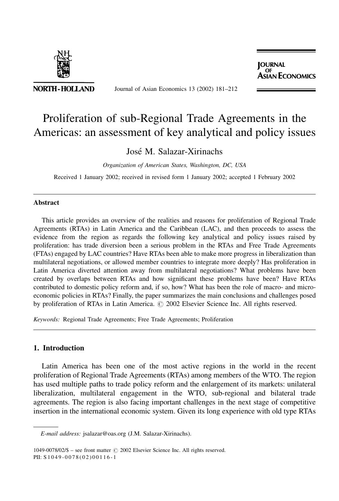

NORTH-HOLLAND

Journal of Asian Economics 13 (2002) 181-212

**IOURNAL ASIAN ECONOMICS** 

## Proliferation of sub-Regional Trade Agreements in the Americas: an assessment of key analytical and policy issues

### José M. Salazar-Xirinachs

Organization of American States, Washington, DC, USA

Received 1 January 2002; received in revised form 1 January 2002; accepted 1 February 2002

#### **Abstract**

This article provides an overview of the realities and reasons for proliferation of Regional Trade Agreements (RTAs) in Latin America and the Caribbean (LAC), and then proceeds to assess the evidence from the region as regards the following key analytical and policy issues raised by proliferation: has trade diversion been a serious problem in the RTAs and Free Trade Agreements (FTAs) engaged by LAC countries? Have RTAs been able to make more progress in liberalization than multilateral negotiations, or allowed member countries to integrate more deeply? Has proliferation in Latin America diverted attention away from multilateral negotiations? What problems have been created by overlaps between RTAs and how significant these problems have been? Have RTAs contributed to domestic policy reform and, if so, how? What has been the role of macro- and microeconomic policies in RTAs? Finally, the paper summarizes the main conclusions and challenges posed by proliferation of RTAs in Latin America. © 2002 Elsevier Science Inc. All rights reserved.

Keywords: Regional Trade Agreements; Free Trade Agreements; Proliferation

### 1. Introduction

Latin America has been one of the most active regions in the world in the recent proliferation of Regional Trade Agreements (RTAs) among members of the WTO. The region has used multiple paths to trade policy reform and the enlargement of its markets: unilateral liberalization, multilateral engagement in the WTO, sub-regional and bilateral trade agreements. The region is also facing important challenges in the next stage of competitive insertion in the international economic system. Given its long experience with old type RTAs

E-mail address: jsalazar@oas.org (J.M. Salazar-Xirinachs).

 $1049-0078/02/\$$  – see front matter  $\textcircled{c}$  2002 Elsevier Science Inc. All rights reserved. PII: S1049-0078(02)00116-1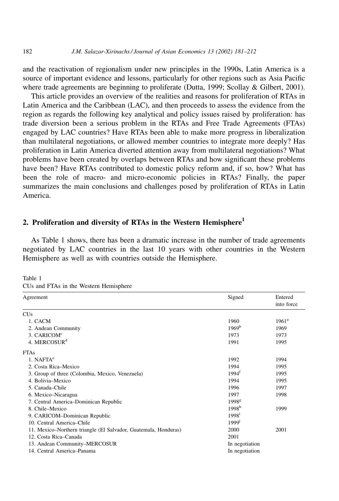and the reactivation of regionalism under new principles in the 1990s, Latin America is a source of important evidence and lessons, particularly for other regions such as Asia Pacific where trade agreements are beginning to proliferate (Dutta, 1999; Scollay & Gilbert, 2001).

This article provides an overview of the realities and reasons for proliferation of RTAs in Latin America and the Caribbean (LAC), and then proceeds to assess the evidence from the region as regards the following key analytical and policy issues raised by proliferation: has trade diversion been a serious problem in the RTAs and Free Trade Agreements (FTAs) engaged by LAC countries? Have RTAs been able to make more progress in liberalization than multilateral negotiations, or allowed member countries to integrate more deeply? Has proliferation in Latin America diverted attention away from multilateral negotiations? What problems have been created by overlaps between RTAs and how significant these problems have been? Have RTAs contributed to domestic policy reform and, if so, how? What has been the role of macro- and micro-economic policies in RTAs? Finally, the paper summarizes the main conclusions and challenges posed by proliferation of RTAs in Latin America.

#### 2. Proliferation and diversity of RTAs in the Western Hemisphere<sup>1</sup>

As Table 1 shows, there has been a dramatic increase in the number of trade agreements negotiated by LAC countries in the last 10 years with other countries in the Western Hemisphere as well as with countries outside the Hemisphere.

Table 1

| CUs and FTAs in the Western Hemisphere |  |
|----------------------------------------|--|
|----------------------------------------|--|

| Agreement                                                       | Signed              | Entered<br>into force |
|-----------------------------------------------------------------|---------------------|-----------------------|
| <b>CUs</b>                                                      |                     |                       |
| 1. CACM                                                         | 1960                | $1961^{\rm a}$        |
| 2. Andean Community                                             | 1969 <sup>b</sup>   | 1969                  |
| 3. CARICOM <sup>c</sup>                                         | 1973                | 1973                  |
| 4. MERCOSUR <sup>d</sup>                                        | 1991                | 1995                  |
| <b>FTAs</b>                                                     |                     |                       |
| $1.$ NAFT $Ae$                                                  | 1992                | 1994                  |
| 2. Costa Rica-Mexico                                            | 1994                | 1995                  |
| 3. Group of three (Colombia, Mexico, Venezuela)                 | $1994^{\mathrm{f}}$ | 1995                  |
| 4. Bolivia-Mexico                                               | 1994                | 1995                  |
| 5. Canada-Chile                                                 | 1996                | 1997                  |
| 6. Mexico-Nicaragua                                             | 1997                | 1998                  |
| 7. Central America–Dominican Republic                           | 1998 <sup>g</sup>   |                       |
| 8. Chile-Mexico                                                 | 1998 <sup>h</sup>   | 1999                  |
| 9. CARICOM-Dominican Republic                                   | $1998^1$            |                       |
| 10. Central America-Chile                                       | 1999 <sup>j</sup>   |                       |
| 11. Mexico–Northern triangle (El Salvador, Guatemala, Honduras) | 2000                | 2001                  |
| 12. Costa Rica-Canada                                           | 2001                |                       |
| 13. Andean Community–MERCOSUR                                   | In negotiation      |                       |
| 14. Central America-Panama                                      | In negotiation      |                       |

182